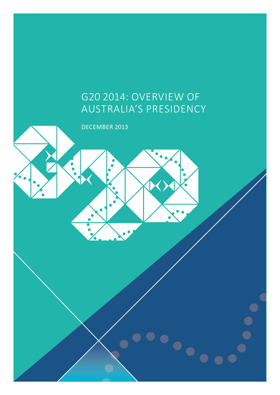# G20 2014: Overview of Australia's Presidency

 $\bullet$ 

december 2013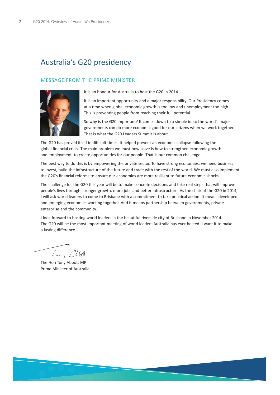# Australia's G20 presidency

#### Message from the Prime Minister



It is an honour for Australia to host the G20 in 2014.

It is an important opportunity and a major responsibility. Our Presidency comes at a time when global economic growth is too low and unemployment too high. This is preventing people from reaching their full potential.

So why is the G20 important? It comes down to a simple idea: the world's major governments can do more economic good for our citizens when we work together. That is what the G20 Leaders Summit is about.

The G20 has proved itself in difficult times. It helped prevent an economic collapse following the global financial crisis. The main problem we must now solve is how to strengthen economic growth and employment, to create opportunities for our people. That is our common challenge.

The best way to do this is by empowering the private sector. To have strong economies, we need business to invest, build the infrastructure of the future and trade with the rest of the world. We must also implement the G20's financial reforms to ensure our economies are more resilient to future economic shocks.

The challenge for the G20 this year will be to make concrete decisions and take real steps that will improve people's lives through stronger growth, more jobs and better infrastructure. As the chair of the G20 in 2014, I will ask world leaders to come to Brisbane with a commitment to take practical action. It means developed and emerging economies working together. And it means partnership between governments, private enterprise and the community.

I look forward to hosting world leaders in the beautiful riverside city of Brisbane in November 2014. The G20 will be the most important meeting of world leaders Australia has ever hosted. I want it to make a lasting difference.

The Hon Tony Abbott MP Prime Minister of Australia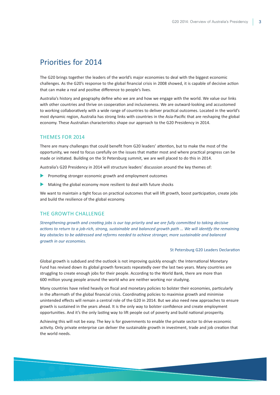## Priorities for 2014

The G20 brings together the leaders of the world's major economies to deal with the biggest economic challenges. As the G20's response to the global financial crisis in 2008 showed, it is capable of decisive action that can make a real and positive difference to people's lives.

Australia's history and geography define who we are and how we engage with the world. We value our links with other countries and thrive on cooperation and inclusiveness. We are outward-looking and accustomed to working collaboratively with a wide range of countries to deliver practical outcomes. Located in the world's most dynamic region, Australia has strong links with countries in the Asia-Pacific that are reshaping the global economy. These Australian characteristics shape our approach to the G20 Presidency in 2014.

#### Themes for 2014

There are many challenges that could benefit from G20 leaders' attention, but to make the most of the opportunity, we need to focus carefully on the issues that matter most and where practical progress can be made or initiated. Building on the St Petersburg summit, we are well placed to do this in 2014.

Australia's G20 Presidency in 2014 will structure leaders' discussion around the key themes of:

- Promoting stronger economic growth and employment outcomes
- Making the global economy more resilient to deal with future shocks

We want to maintain a tight focus on practical outcomes that will lift growth, boost participation, create jobs and build the resilience of the global economy.

#### The Growth Challenge

*Strengthening growth and creating jobs is our top priority and we are fully committed to taking decisive actions to return to a job-rich, strong, sustainable and balanced growth path … We will identify the remaining key obstacles to be addressed and reforms needed to achieve stronger, more sustainable and balanced growth in our economies.* 

#### St Petersburg G20 Leaders Declaration

Global growth is subdued and the outlook is not improving quickly enough: the International Monetary Fund has revised down its global growth forecasts repeatedly over the last two years. Many countries are struggling to create enough jobs for their people. According to the World Bank, there are more than 600 million young people around the world who are neither working nor studying.

Many countries have relied heavily on fiscal and monetary policies to bolster their economies, particularly in the aftermath of the global financial crisis. Coordinating policies to maximise growth and minimise unintended effects will remain a central role of the G20 in 2014. But we also need new approaches to ensure growth is sustained in the years ahead. It is the only way to bolster confidence and create employment opportunities. And it's the only lasting way to lift people out of poverty and build national prosperity.

Achieving this will not be easy. The key is for governments to enable the private sector to drive economic activity. Only private enterprise can deliver the sustainable growth in investment, trade and job creation that the world needs.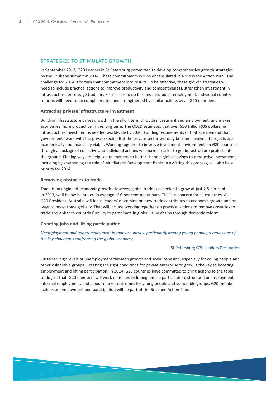#### STRATEGIES TO STIMULATE GROWTH

In September 2013, G20 Leaders in St Petersburg committed to develop comprehensive growth strategies by the Brisbane summit in 2014. These commitments will be encapsulated in a 'Brisbane Action Plan'. The challenge for 2014 is to turn that commitment into results. To be effective, these growth strategies will need to include practical actions to improve productivity and competitiveness, strengthen investment in infrastructure, encourage trade, make it easier to do business and boost employment. Individual country reforms will need to be complemented and strengthened by similar actions by all G20 members.

#### **Attracting private infrastructure investment**

Building infrastructure drives growth in the short term through investment and employment, and makes economies more productive in the long term. The OECD estimates that over \$50 trillion (US dollars) in infrastructure investment is needed worldwide by 2030. Funding requirements of that size demand that governments work with the private sector. But the private sector will only become involved if projects are economically and financially viable. Working together to improve investment environments in G20 countries through a package of collective and individual actions will make it easier to get infrastructure projects off the ground. Finding ways to help capital markets to better channel global savings to productive investments, including by sharpening the role of Multilateral Development Banks in assisting this process, will also be a priority for 2014.

#### **Removing obstacles to trade**

Trade is an engine of economic growth. However, global trade is expected to grow at just 2.5 per cent in 2013, well below its pre-crisis average of 6 per cent per annum. This is a concern for all countries. As G20 President, Australia will focus leaders' discussion on how trade contributes to economic growth and on ways to boost trade globally. That will include working together on practical actions to remove obstacles to trade and enhance countries' ability to participate in global value chains through domestic reform.

#### **Creating jobs and lifting participation**

*Unemployment and underemployment in many countries, particularly among young people, remains one of the key challenges confronting the global economy.*

#### St Petersburg G20 Leaders Declaration

Sustained high levels of unemployment threaten growth and social cohesion, especially for young people and other vulnerable groups. Creating the right conditions for private enterprise to grow is the key to boosting employment and lifting participation. In 2014, G20 countries have committed to bring actions to the table to do just that. G20 members will work on issues including female participation, structural unemployment, informal employment, and labour market outcomes for young people and vulnerable groups. G20 member actions on employment and participation will be part of the Brisbane Action Plan.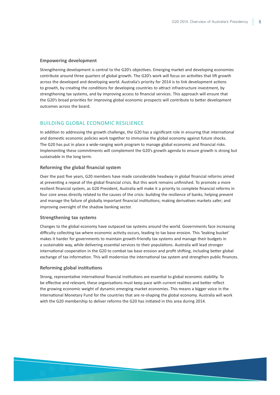#### **Empowering development**

Strengthening development is central to the G20's objectives. Emerging market and developing economies contribute around three quarters of global growth. The G20's work will focus on activities that lift growth across the developed and developing world. Australia's priority for 2014 is to link development actions to growth, by creating the conditions for developing countries to attract infrastructure investment, by strengthening tax systems, and by improving access to financial services. This approach will ensure that the G20's broad priorities for improving global economic prospects will contribute to better development outcomes across the board.

#### Building global economic resilience

In addition to addressing the growth challenge, the G20 has a significant role in ensuring that international and domestic economic policies work together to immunise the global economy against future shocks. The G20 has put in place a wide-ranging work program to manage global economic and financial risks. Implementing these commitments will complement the G20's growth agenda to ensure growth is strong but sustainable in the long term.

#### **Reforming the global financial system**

Over the past five years, G20 members have made considerable headway in global financial reforms aimed at preventing a repeat of the global financial crisis. But this work remains unfinished. To promote a more resilient financial system, as G20 President, Australia will make it a priority to complete financial reforms in four core areas directly related to the causes of the crisis: building the resilience of banks; helping prevent and manage the failure of globally important financial institutions; making derivatives markets safer; and improving oversight of the shadow banking sector.

#### **Strengthening tax systems**

Changes to the global economy have outpaced tax systems around the world. Governments face increasing difficulty collecting tax where economic activity occurs, leading to tax base erosion. This 'leaking bucket' makes it harder for governments to maintain growth-friendly tax systems and manage their budgets in a sustainable way, while delivering essential services to their populations. Australia will lead stronger international cooperation in the G20 to combat tax base erosion and profit shifting, including better global exchange of tax information. This will modernise the international tax system and strengthen public finances.

#### **Reforming global institutions**

Strong, representative international financial institutions are essential to global economic stability. To be effective and relevant, these organisations must keep pace with current realities and better reflect the growing economic weight of dynamic emerging market economies. This means a bigger voice in the International Monetary Fund for the countries that are re-shaping the global economy. Australia will work with the G20 membership to deliver reforms the G20 has initiated in this area during 2014.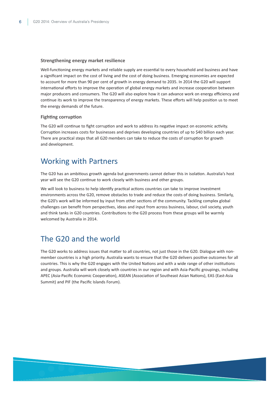#### **Strengthening energy market resilience**

Well-functioning energy markets and reliable supply are essential to every household and business and have a significant impact on the cost of living and the cost of doing business. Emerging economies are expected to account for more than 90 per cent of growth in energy demand to 2035. In 2014 the G20 will support international efforts to improve the operation of global energy markets and increase cooperation between major producers and consumers. The G20 will also explore how it can advance work on energy efficiency and continue its work to improve the transparency of energy markets. These efforts will help position us to meet the energy demands of the future.

#### **Fighting corruption**

The G20 will continue to fight corruption and work to address its negative impact on economic activity. Corruption increases costs for businesses and deprives developing countries of up to \$40 billion each year. There are practical steps that all G20 members can take to reduce the costs of corruption for growth and development.

### Working with Partners

The G20 has an ambitious growth agenda but governments cannot deliver this in isolation. Australia's host year will see the G20 continue to work closely with business and other groups.

We will look to business to help identify practical actions countries can take to improve investment environments across the G20, remove obstacles to trade and reduce the costs of doing business. Similarly, the G20's work will be informed by input from other sections of the community. Tackling complex global challenges can benefit from perspectives, ideas and input from across business, labour, civil society, youth and think tanks in G20 countries. Contributions to the G20 process from these groups will be warmly welcomed by Australia in 2014.

### The G20 and the world

The G20 works to address issues that matter to all countries, not just those in the G20. Dialogue with nonmember countries is a high priority. Australia wants to ensure that the G20 delivers positive outcomes for all countries. This is why the G20 engages with the United Nations and with a wide range of other institutions and groups. Australia will work closely with countries in our region and with Asia-Pacific groupings, including APEC (Asia-Pacific Economic Cooperation), ASEAN (Association of Southeast Asian Nations), EAS (East-Asia Summit) and PIF (the Pacific Islands Forum).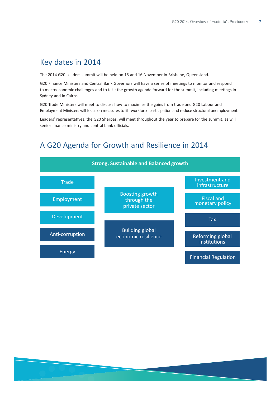# Key dates in 2014

The 2014 G20 Leaders summit will be held on 15 and 16 November in Brisbane, Queensland.

G20 Finance Ministers and Central Bank Governors will have a series of meetings to monitor and respond to macroeconomic challenges and to take the growth agenda forward for the summit, including meetings in Sydney and in Cairns.

G20 Trade Ministers will meet to discuss how to maximise the gains from trade and G20 Labour and Employment Ministers will focus on measures to lift workforce participation and reduce structural unemployment.

Leaders' representatives, the G20 Sherpas, will meet throughout the year to prepare for the summit, as will senior finance ministry and central bank officials.

# A G20 Agenda for Growth and Resilience in 2014